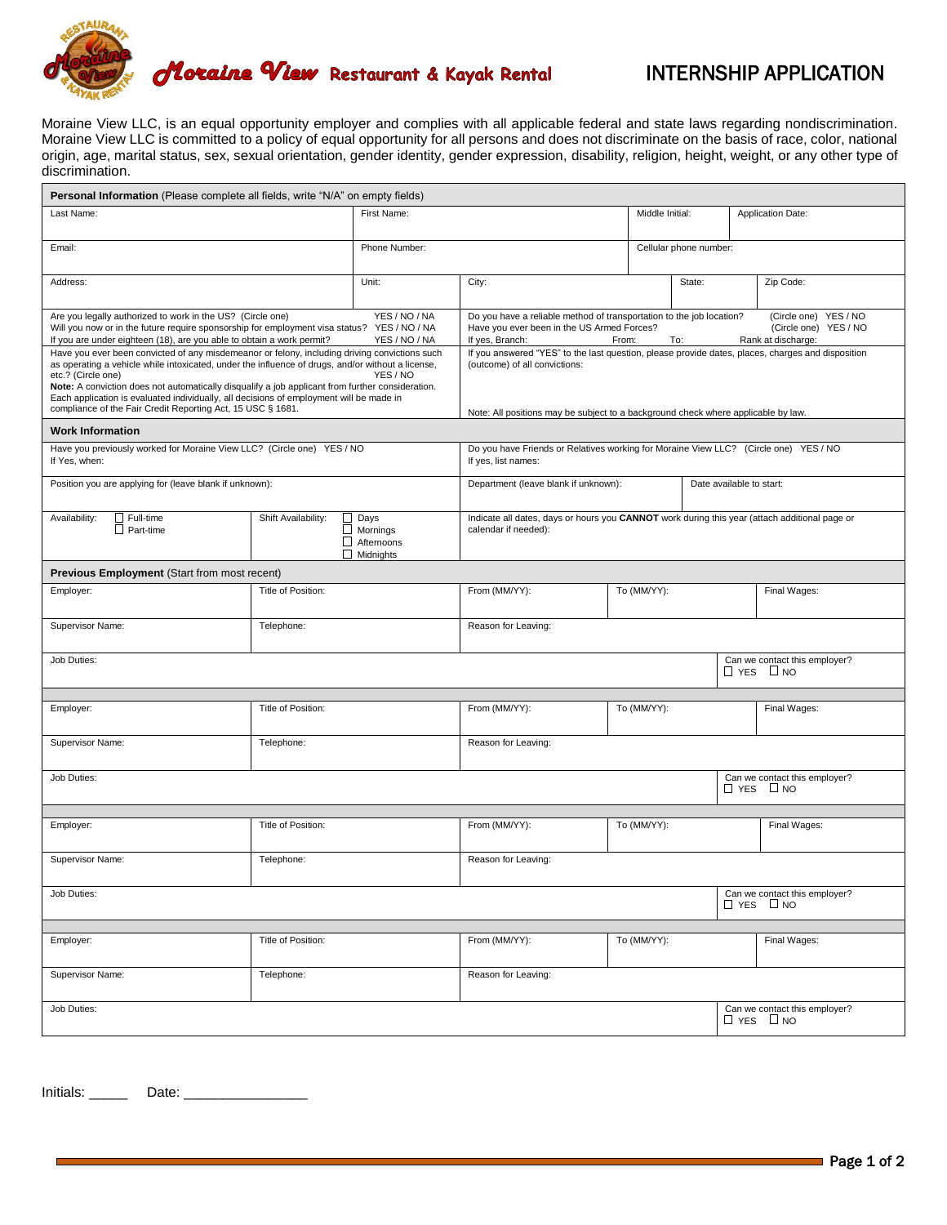

## INTERNSHIP APPLICATION

Moraine View LLC, is an equal opportunity employer and complies with all applicable federal and state laws regarding nondiscrimination. Moraine View LLC is committed to a policy of equal opportunity for all persons and does not discriminate on the basis of race, color, national origin, age, marital status, sex, sexual orientation, gender identity, gender expression, disability, religion, height, weight, or any other type of discrimination.

| <b>Personal Information</b> (Please complete all fields, write "N/A" on empty fields)                                                                                                                                                                                                                                                                                                                                                                                                                                                                                                                            |                                                                                                             |                                                                         |                                                                                                                                                                                                                                                                                                                                                                     |                                                       |                        |                                                       |  |  |
|------------------------------------------------------------------------------------------------------------------------------------------------------------------------------------------------------------------------------------------------------------------------------------------------------------------------------------------------------------------------------------------------------------------------------------------------------------------------------------------------------------------------------------------------------------------------------------------------------------------|-------------------------------------------------------------------------------------------------------------|-------------------------------------------------------------------------|---------------------------------------------------------------------------------------------------------------------------------------------------------------------------------------------------------------------------------------------------------------------------------------------------------------------------------------------------------------------|-------------------------------------------------------|------------------------|-------------------------------------------------------|--|--|
| Last Name:                                                                                                                                                                                                                                                                                                                                                                                                                                                                                                                                                                                                       |                                                                                                             | First Name:                                                             |                                                                                                                                                                                                                                                                                                                                                                     | Middle Initial:                                       |                        | Application Date:                                     |  |  |
| Email:                                                                                                                                                                                                                                                                                                                                                                                                                                                                                                                                                                                                           |                                                                                                             | Phone Number:                                                           |                                                                                                                                                                                                                                                                                                                                                                     |                                                       | Cellular phone number: |                                                       |  |  |
| Address:                                                                                                                                                                                                                                                                                                                                                                                                                                                                                                                                                                                                         |                                                                                                             | Unit:                                                                   | City:                                                                                                                                                                                                                                                                                                                                                               |                                                       | State:                 | Zip Code:                                             |  |  |
| Are you legally authorized to work in the US? (Circle one)<br>YES / NO / NA<br>Will you now or in the future require sponsorship for employment visa status? YES / NO / NA<br>If you are under eighteen (18), are you able to obtain a work permit?<br>YES / NO / NA<br>Have you ever been convicted of any misdemeanor or felony, including driving convictions such<br>as operating a vehicle while intoxicated, under the influence of drugs, and/or without a license.<br>YES / NO<br>etc.? (Circle one)<br>Note: A conviction does not automatically disqualify a job applicant from further consideration. |                                                                                                             |                                                                         | (Circle one) YES / NO<br>Do you have a reliable method of transportation to the job location?<br>Have you ever been in the US Armed Forces?<br>(Circle one) YES / NO<br>If yes, Branch:<br>Rank at discharge:<br>From:<br>To:<br>If you answered "YES" to the last question, please provide dates, places, charges and disposition<br>(outcome) of all convictions: |                                                       |                        |                                                       |  |  |
| Each application is evaluated individually, all decisions of employment will be made in<br>compliance of the Fair Credit Reporting Act, 15 USC § 1681.                                                                                                                                                                                                                                                                                                                                                                                                                                                           |                                                                                                             |                                                                         | Note: All positions may be subject to a background check where applicable by law.                                                                                                                                                                                                                                                                                   |                                                       |                        |                                                       |  |  |
| <b>Work Information</b>                                                                                                                                                                                                                                                                                                                                                                                                                                                                                                                                                                                          |                                                                                                             |                                                                         |                                                                                                                                                                                                                                                                                                                                                                     |                                                       |                        |                                                       |  |  |
| Have you previously worked for Moraine View LLC? (Circle one) YES / NO<br>If Yes, when:                                                                                                                                                                                                                                                                                                                                                                                                                                                                                                                          | Do you have Friends or Relatives working for Moraine View LLC? (Circle one) YES / NO<br>If yes, list names: |                                                                         |                                                                                                                                                                                                                                                                                                                                                                     |                                                       |                        |                                                       |  |  |
| Position you are applying for (leave blank if unknown):                                                                                                                                                                                                                                                                                                                                                                                                                                                                                                                                                          |                                                                                                             |                                                                         | Department (leave blank if unknown):<br>Date available to start:                                                                                                                                                                                                                                                                                                    |                                                       |                        |                                                       |  |  |
| $\Box$ Full-time<br>Availability:<br>$\Box$ Part-time                                                                                                                                                                                                                                                                                                                                                                                                                                                                                                                                                            | Shift Availability:                                                                                         | $\Box$ Days<br>$\Box$ Mornings<br>$\Box$ Afternoons<br>$\Box$ Midnights | Indicate all dates, days or hours you CANNOT work during this year (attach additional page or<br>calendar if needed):                                                                                                                                                                                                                                               |                                                       |                        |                                                       |  |  |
| <b>Previous Employment (Start from most recent)</b>                                                                                                                                                                                                                                                                                                                                                                                                                                                                                                                                                              |                                                                                                             |                                                                         |                                                                                                                                                                                                                                                                                                                                                                     |                                                       |                        |                                                       |  |  |
| Employer:                                                                                                                                                                                                                                                                                                                                                                                                                                                                                                                                                                                                        | Title of Position:                                                                                          |                                                                         | From (MM/YY):                                                                                                                                                                                                                                                                                                                                                       | To (MM/YY):                                           |                        | Final Wages:                                          |  |  |
| Supervisor Name:                                                                                                                                                                                                                                                                                                                                                                                                                                                                                                                                                                                                 | Telephone:                                                                                                  |                                                                         | Reason for Leaving:                                                                                                                                                                                                                                                                                                                                                 |                                                       |                        |                                                       |  |  |
| Job Duties:                                                                                                                                                                                                                                                                                                                                                                                                                                                                                                                                                                                                      |                                                                                                             |                                                                         |                                                                                                                                                                                                                                                                                                                                                                     |                                                       |                        | Can we contact this employer?<br>$\Box$ YES $\Box$ NO |  |  |
|                                                                                                                                                                                                                                                                                                                                                                                                                                                                                                                                                                                                                  |                                                                                                             |                                                                         |                                                                                                                                                                                                                                                                                                                                                                     |                                                       |                        |                                                       |  |  |
| Employer:                                                                                                                                                                                                                                                                                                                                                                                                                                                                                                                                                                                                        | Title of Position:                                                                                          |                                                                         | From (MM/YY):                                                                                                                                                                                                                                                                                                                                                       | To (MM/YY):                                           |                        | Final Wages:                                          |  |  |
| Supervisor Name:                                                                                                                                                                                                                                                                                                                                                                                                                                                                                                                                                                                                 | Telephone:                                                                                                  |                                                                         | Reason for Leaving:                                                                                                                                                                                                                                                                                                                                                 |                                                       |                        |                                                       |  |  |
| Job Duties:                                                                                                                                                                                                                                                                                                                                                                                                                                                                                                                                                                                                      |                                                                                                             |                                                                         |                                                                                                                                                                                                                                                                                                                                                                     | Can we contact this employer?<br>$\Box$ YES $\Box$ NO |                        |                                                       |  |  |
|                                                                                                                                                                                                                                                                                                                                                                                                                                                                                                                                                                                                                  |                                                                                                             |                                                                         |                                                                                                                                                                                                                                                                                                                                                                     |                                                       |                        |                                                       |  |  |
| Employer:                                                                                                                                                                                                                                                                                                                                                                                                                                                                                                                                                                                                        | Title of Position:                                                                                          |                                                                         | From (MM/YY):                                                                                                                                                                                                                                                                                                                                                       | To (MM/YY):                                           |                        | Final Wages:                                          |  |  |
| Supervisor Name:<br>Telephone:                                                                                                                                                                                                                                                                                                                                                                                                                                                                                                                                                                                   |                                                                                                             |                                                                         | Reason for Leaving:                                                                                                                                                                                                                                                                                                                                                 |                                                       |                        |                                                       |  |  |
| Job Duties:                                                                                                                                                                                                                                                                                                                                                                                                                                                                                                                                                                                                      |                                                                                                             |                                                                         |                                                                                                                                                                                                                                                                                                                                                                     |                                                       |                        | Can we contact this employer?<br>$\Box$ YES $\Box$ NO |  |  |
|                                                                                                                                                                                                                                                                                                                                                                                                                                                                                                                                                                                                                  |                                                                                                             |                                                                         |                                                                                                                                                                                                                                                                                                                                                                     |                                                       |                        |                                                       |  |  |
| Employer:                                                                                                                                                                                                                                                                                                                                                                                                                                                                                                                                                                                                        | Title of Position:                                                                                          |                                                                         | From (MM/YY):<br>To (MM/YY):                                                                                                                                                                                                                                                                                                                                        |                                                       |                        | Final Wages:                                          |  |  |
| Supervisor Name:                                                                                                                                                                                                                                                                                                                                                                                                                                                                                                                                                                                                 | Telephone:                                                                                                  |                                                                         | Reason for Leaving:                                                                                                                                                                                                                                                                                                                                                 |                                                       |                        |                                                       |  |  |
| Job Duties:                                                                                                                                                                                                                                                                                                                                                                                                                                                                                                                                                                                                      |                                                                                                             |                                                                         |                                                                                                                                                                                                                                                                                                                                                                     |                                                       |                        | Can we contact this employer?<br>$\Box$ YES $\Box$ NO |  |  |

Initials: \_\_\_\_\_\_\_\_\_\_ Date: \_\_\_